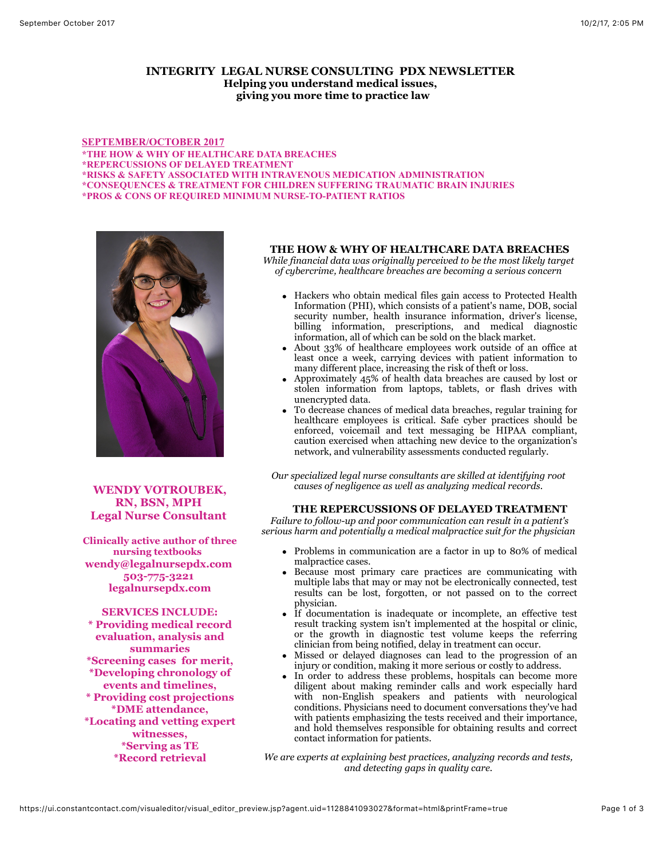## **INTEGRITY LEGAL NURSE CONSULTING PDX NEWSLETTER Helping you understand medical issues, giving you more time to practice law**

**SEPTEMBER/OCTOBER 2017 \*THE HOW & WHY OF HEALTHCARE DATA BREACHES \*REPERCUSSIONS OF DELAYED TREATMENT \*RISKS & SAFETY ASSOCIATED WITH INTRAVENOUS MEDICATION ADMINISTRATION \*CONSEQUENCES & TREATMENT FOR CHILDREN SUFFERING TRAUMATIC BRAIN INJURIES \*PROS & CONS OF REQUIRED MINIMUM NURSE-TO-PATIENT RATIOS**



**WENDY VOTROUBEK, RN, BSN, MPH Legal Nurse Consultant** 

**Clinically active author of three nursing textbooks wendy@legalnursepdx.com 503-775-3221 legalnursepdx.com**

**SERVICES INCLUDE: \* Providing medical record evaluation, analysis and summaries \*Screening cases for merit, \*Developing chronology of events and timelines, \* Providing cost projections \*DME attendance, \*Locating and vetting expert witnesses, \*Serving as TE \*Record retrieval**

## **THE HOW & WHY OF HEALTHCARE DATA BREACHES**

*While financial data was originally perceived to be the most likely target of cybercrime, healthcare breaches are becoming a serious concern*

- Hackers who obtain medical files gain access to Protected Health Information (PHI), which consists of a patient's name, DOB, social security number, health insurance information, driver's license, billing information, prescriptions, and medical diagnostic information, all of which can be sold on the black market.
- About 33% of healthcare employees work outside of an office at least once a week, carrying devices with patient information to many different place, increasing the risk of theft or loss.
- Approximately 45% of health data breaches are caused by lost or stolen information from laptops, tablets, or flash drives with unencrypted data.
- To decrease chances of medical data breaches, regular training for healthcare employees is critical. Safe cyber practices should be enforced, voicemail and text messaging be HIPAA compliant, caution exercised when attaching new device to the organization's network, and vulnerability assessments conducted regularly.

*Our specialized legal nurse consultants are skilled at identifying root causes of negligence as well as analyzing medical records.*

### **THE REPERCUSSIONS OF DELAYED TREATMENT**

 *Failure to follow-up and poor communication can result in a patient's serious harm and potentially a medical malpractice suit for the physician*

- Problems in communication are a factor in up to 80% of medical malpractice cases.
- Because most primary care practices are communicating with multiple labs that may or may not be electronically connected, test results can be lost, forgotten, or not passed on to the correct physician.
- If documentation is inadequate or incomplete, an effective test result tracking system isn't implemented at the hospital or clinic, or the growth in diagnostic test volume keeps the referring clinician from being notified, delay in treatment can occur.
- Missed or delayed diagnoses can lead to the progression of an injury or condition, making it more serious or costly to address.
- In order to address these problems, hospitals can become more diligent about making reminder calls and work especially hard with non-English speakers and patients with neurological conditions. Physicians need to document conversations they've had with patients emphasizing the tests received and their importance, and hold themselves responsible for obtaining results and correct contact information for patients.

*We are experts at explaining best practices, analyzing records and tests, and detecting gaps in quality care.*